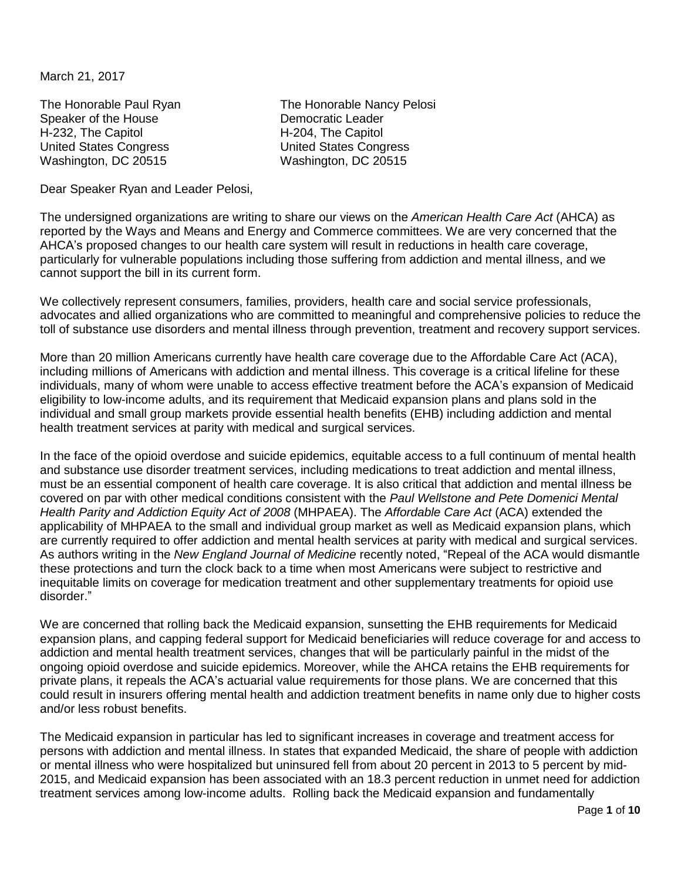March 21, 2017

Speaker of the House Democratic Leader H-232, The Capitol **H-204**, The Capitol United States Congress United States Congress Washington, DC 20515 Washington, DC 20515

The Honorable Paul Ryan The Honorable Nancy Pelosi

Dear Speaker Ryan and Leader Pelosi,

The undersigned organizations are writing to share our views on the *American Health Care Act* (AHCA) as reported by the Ways and Means and Energy and Commerce committees. We are very concerned that the AHCA's proposed changes to our health care system will result in reductions in health care coverage, particularly for vulnerable populations including those suffering from addiction and mental illness, and we cannot support the bill in its current form.

We collectively represent consumers, families, providers, health care and social service professionals, advocates and allied organizations who are committed to meaningful and comprehensive policies to reduce the toll of substance use disorders and mental illness through prevention, treatment and recovery support services.

More than 20 million Americans currently have health care coverage due to the Affordable Care Act (ACA), including millions of Americans with addiction and mental illness. This coverage is a critical lifeline for these individuals, many of whom were unable to access effective treatment before the ACA's expansion of Medicaid eligibility to low-income adults, and its requirement that Medicaid expansion plans and plans sold in the individual and small group markets provide essential health benefits (EHB) including addiction and mental health treatment services at parity with medical and surgical services.

In the face of the opioid overdose and suicide epidemics, equitable access to a full continuum of mental health and substance use disorder treatment services, including medications to treat addiction and mental illness, must be an essential component of health care coverage. It is also critical that addiction and mental illness be covered on par with other medical conditions consistent with the *Paul Wellstone and Pete Domenici Mental Health Parity and Addiction Equity Act of 2008* (MHPAEA). The *Affordable Care Act* (ACA) extended the applicability of MHPAEA to the small and individual group market as well as Medicaid expansion plans, which are currently required to offer addiction and mental health services at parity with medical and surgical services. As authors writing in the *New England Journal of Medicine* recently noted, "Repeal of the ACA would dismantle these protections and turn the clock back to a time when most Americans were subject to restrictive and inequitable limits on coverage for medication treatment and other supplementary treatments for opioid use disorder."

We are concerned that rolling back the Medicaid expansion, sunsetting the EHB requirements for Medicaid expansion plans, and capping federal support for Medicaid beneficiaries will reduce coverage for and access to addiction and mental health treatment services, changes that will be particularly painful in the midst of the ongoing opioid overdose and suicide epidemics. Moreover, while the AHCA retains the EHB requirements for private plans, it repeals the ACA's actuarial value requirements for those plans. We are concerned that this could result in insurers offering mental health and addiction treatment benefits in name only due to higher costs and/or less robust benefits.

The Medicaid expansion in particular has led to significant increases in coverage and treatment access for persons with addiction and mental illness. In states that expanded Medicaid, the share of people with addiction or mental illness who were hospitalized but uninsured fell from about 20 percent in 2013 to 5 percent by mid-2015, and Medicaid expansion has been associated with an 18.3 percent reduction in unmet need for addiction treatment services among low-income adults. Rolling back the Medicaid expansion and fundamentally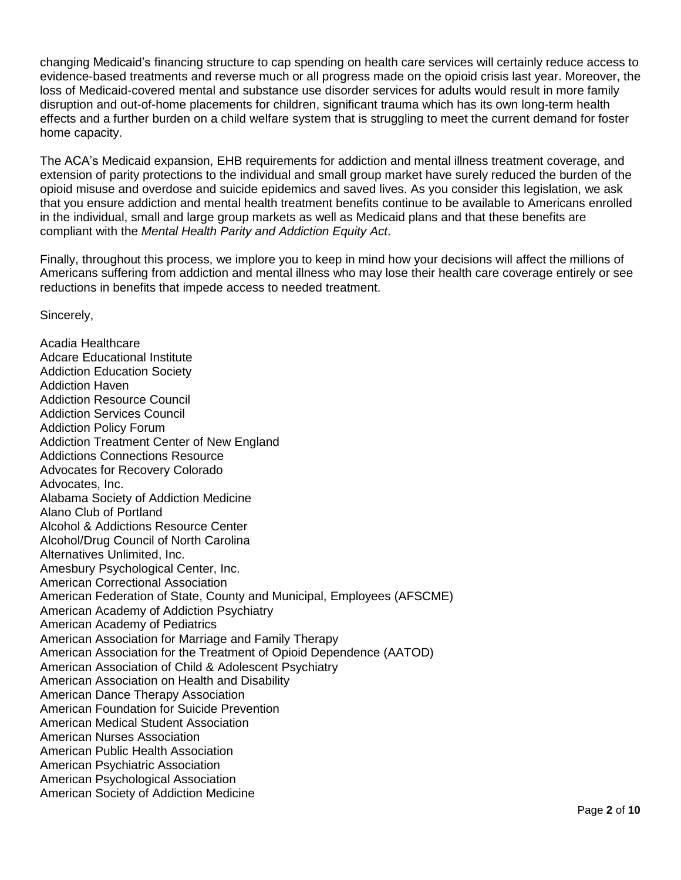changing Medicaid's financing structure to cap spending on health care services will certainly reduce access to evidence-based treatments and reverse much or all progress made on the opioid crisis last year. Moreover, the loss of Medicaid-covered mental and substance use disorder services for adults would result in more family disruption and out-of-home placements for children, significant trauma which has its own long-term health effects and a further burden on a child welfare system that is struggling to meet the current demand for foster home capacity.

The ACA's Medicaid expansion, EHB requirements for addiction and mental illness treatment coverage, and extension of parity protections to the individual and small group market have surely reduced the burden of the opioid misuse and overdose and suicide epidemics and saved lives. As you consider this legislation, we ask that you ensure addiction and mental health treatment benefits continue to be available to Americans enrolled in the individual, small and large group markets as well as Medicaid plans and that these benefits are compliant with the *Mental Health Parity and Addiction Equity Act*.

Finally, throughout this process, we implore you to keep in mind how your decisions will affect the millions of Americans suffering from addiction and mental illness who may lose their health care coverage entirely or see reductions in benefits that impede access to needed treatment.

Sincerely,

Acadia Healthcare Adcare Educational Institute Addiction Education Society Addiction Haven Addiction Resource Council Addiction Services Council Addiction Policy Forum Addiction Treatment Center of New England Addictions Connections Resource Advocates for Recovery Colorado Advocates, Inc. Alabama Society of Addiction Medicine Alano Club of Portland Alcohol & Addictions Resource Center Alcohol/Drug Council of North Carolina Alternatives Unlimited, Inc. Amesbury Psychological Center, Inc. American Correctional Association American Federation of State, County and Municipal, Employees (AFSCME) American Academy of Addiction Psychiatry American Academy of Pediatrics American Association for Marriage and Family Therapy American Association for the Treatment of Opioid Dependence (AATOD) American Association of Child & Adolescent Psychiatry American Association on Health and Disability American Dance Therapy Association American Foundation for Suicide Prevention American Medical Student Association American Nurses Association American Public Health Association American Psychiatric Association American Psychological Association American Society of Addiction Medicine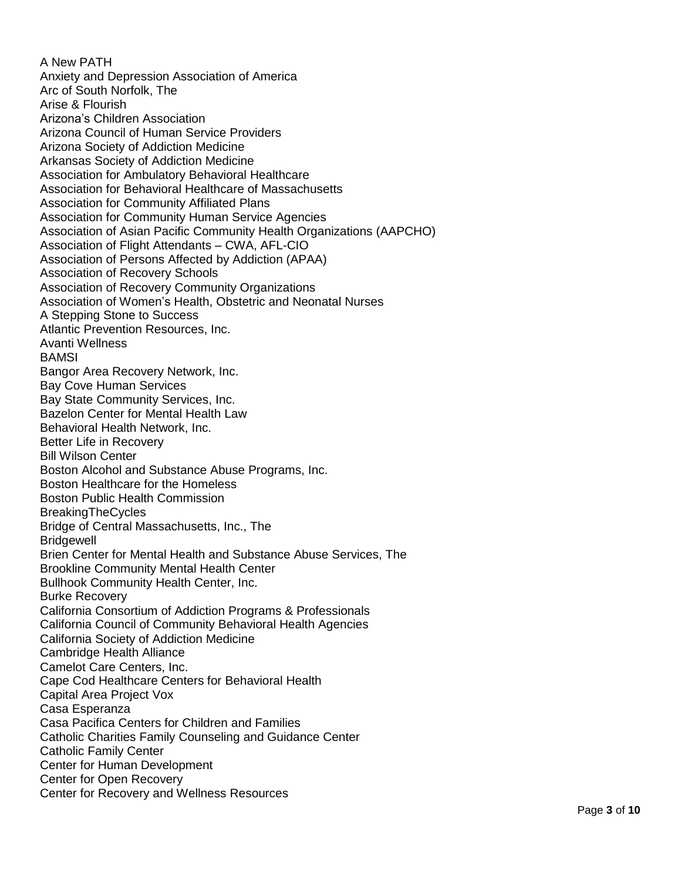A New PATH Anxiety and Depression Association of America Arc of South Norfolk, The Arise & Flourish Arizona's Children Association Arizona Council of Human Service Providers Arizona Society of Addiction Medicine Arkansas Society of Addiction Medicine Association for Ambulatory Behavioral Healthcare Association for Behavioral Healthcare of Massachusetts Association for Community Affiliated Plans Association for Community Human Service Agencies Association of Asian Pacific Community Health Organizations (AAPCHO ) Association of Flight Attendants – CWA, AFL -CIO Association of Persons Affected by Addiction (APAA) Association of Recovery Schools Association of Recovery Community Organizations Association of Women's Health, Obstetric and Neonatal Nurses A Stepping Stone to Success Atlantic Prevention Resources, Inc. Avanti Wellness **BAMSI** Bangor Area Recovery Network, Inc. Bay Cove Human Services Bay State Community Services, Inc. Bazelon Center for Mental Health Law Behavioral Health Network, Inc. Better Life in Recovery Bill Wilson Center Boston Alcohol and Substance Abuse Programs, Inc. Boston Healthcare for the Homeless Boston Public Health Commission BreakingTheCycles Bridge of Central Massachusetts, Inc., The **Bridgewell** Brien Center for Mental Health and Substance Abuse Services, The Brookline Community Mental Health Center Bullhook Community Health Center, Inc. Burke Recovery California Consortium of Addiction Programs & Professionals California Council of Community Behavioral Health Agencies California Society of Addiction Medicine Cambridge Health Alliance Camelot Care Centers, Inc. Cape Cod Healthcare Centers for Behavioral Health Capital Area Project Vox Casa Esperanza Casa Pacifica Centers for Children and Families Catholic Charities Family Counseling and Guidance Center Catholic Family Center Center for Human Development Center for Open Recovery Center for Recovery and Wellness Resources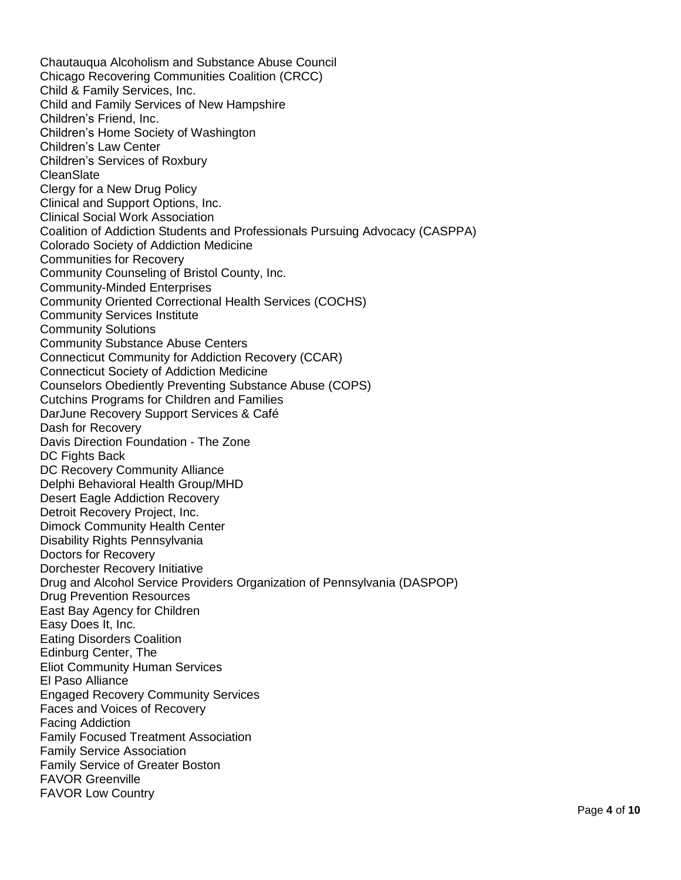Chautauqua Alcoholism and Substance Abuse Council Chicago Recovering Communities Coalition (CRCC) Child & Family Services, Inc. Child and Family Services of New Hampshire Children's Friend, Inc. Children's Home Society of Washington Children's Law Center Children's Services of Roxbury **CleanSlate** Clergy for a New Drug Policy Clinical and Support Options, Inc. Clinical Social Work Association Coalition of Addiction Students and Professionals Pursuing Advocacy (CASPPA) Colorado Society of Addiction Medicine Communities for Recovery Community Counseling of Bristol County, Inc. Community-Minded Enterprises Community Oriented Correctional Health Services (COCHS) Community Services Institute Community Solutions Community Substance Abuse Centers Connecticut Community for Addiction Recovery (CCAR) Connecticut Society of Addiction Medicine Counselors Obediently Preventing Substance Abuse (COPS) Cutchins Programs for Children and Families DarJune Recovery Support Services & Café Dash for Recovery Davis Direction Foundation - The Zone DC Fights Back DC Recovery Community Alliance Delphi Behavioral Health Group/MHD Desert Eagle Addiction Recovery Detroit Recovery Project, Inc. Dimock Community Health Center Disability Rights Pennsylvania Doctors for Recovery Dorchester Recovery Initiative Drug and Alcohol Service Providers Organization of Pennsylvania (DASPOP) Drug Prevention Resources East Bay Agency for Children Easy Does It, Inc. Eating Disorders Coalition Edinburg Center, The Eliot Community Human Services El Paso Alliance Engaged Recovery Community Services Faces and Voices of Recovery Facing Addiction Family Focused Treatment Association Family Service Association Family Service of Greater Boston FAVOR Greenville FAVOR Low Country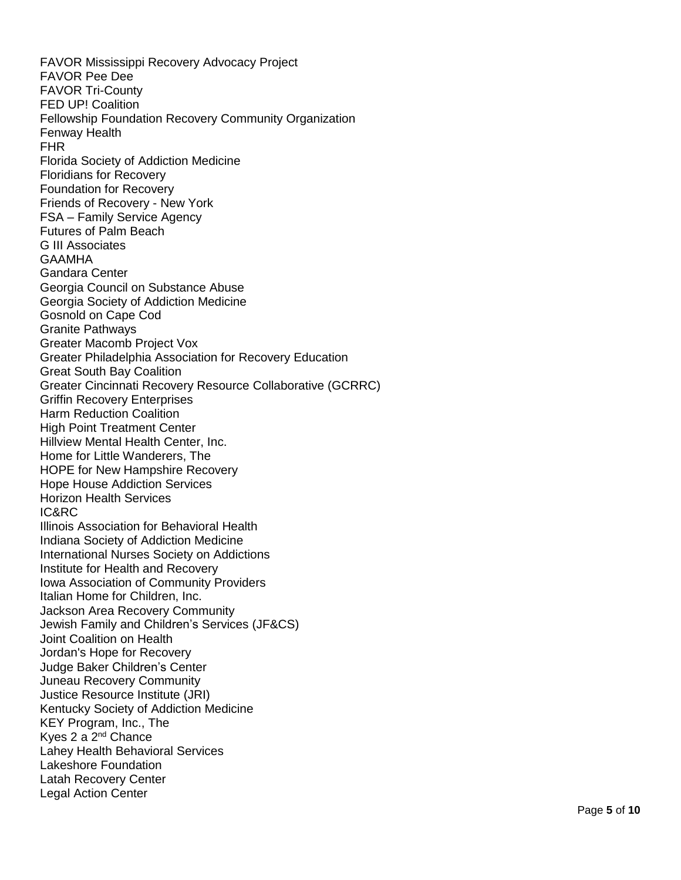FAVOR Mississippi Recovery Advocacy Project FAVOR Pee Dee FAVOR Tri -County FED UP! Coalition Fellowship Foundation Recovery Community Organization Fenway Health FHR Florida Society of Addiction Medicine Floridians for Recovery Foundation for Recovery Friends of Recovery - New York FSA – Family Service Agency Futures of Palm Beach G III Associates GAAMHA Gandara Center Georgia Council on Substance Abuse Georgia Society of Addiction Medicine Gosnold on Cape Cod Granite Pathways Greater Macomb Project Vox Greater Philadelphia Association for Recovery Education Great South Bay Coalition Greater Cincinnati Recovery Resource Collaborative (GCRRC) Griffin Recovery Enterprises Harm Reduction Coalition High Point Treatment Center Hillview Mental Health Center, Inc. Home for Little Wanderers, The HOPE for New Hampshire Recovery Hope House Addiction Services Horizon Health Services IC&RC Illinois Association for Behavioral Health Indiana Society of Addiction Medicine International Nurses Society on Addictions Institute for Health and Recovery Iowa Association of Community Providers Italian Home for Children, Inc. Jackson Area Recovery Community Jewish Family and Children's Services (JF&CS) Joint Coalition on Health Jordan's Hope for Recovery Judge Baker Children's Center Juneau Recovery Community Justice Resource Institute (JRI) Kentucky Society of Addiction Medicine KEY Program, Inc., The Kyes 2 a 2<sup>nd</sup> Chance Lahey Health Behavioral Services Lakeshore Foundation Latah Recovery Center Legal Action Center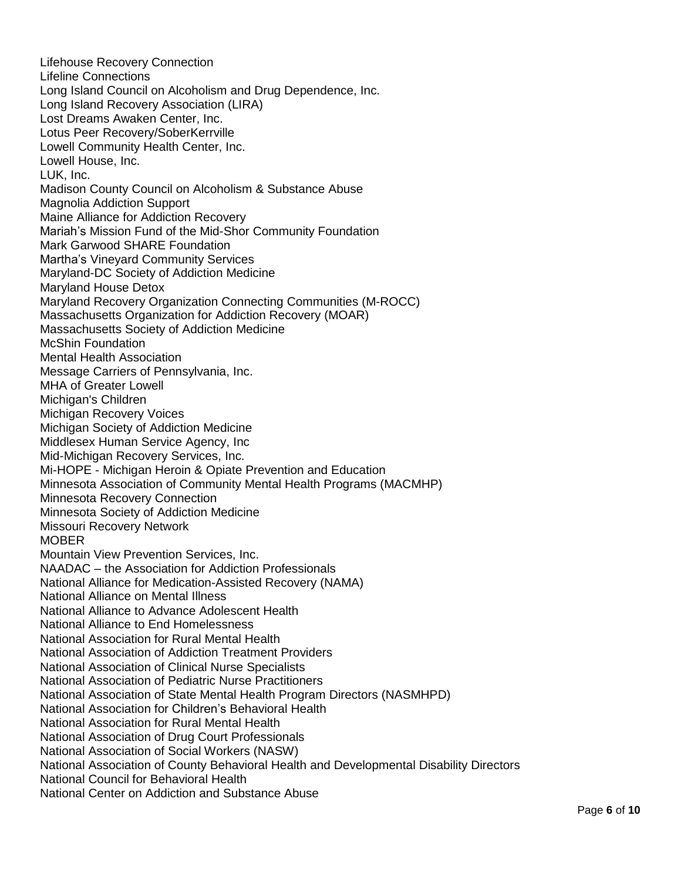Lifehouse Recovery Connection Lifeline Connections Long Island Council on Alcoholism and Drug Dependence, Inc. Long Island Recovery Association (LIRA) Lost Dreams Awaken Center, Inc. Lotus Peer Recovery/SoberKerrville Lowell Community Health Center, Inc. Lowell House, Inc. LUK, Inc. Madison County Council on Alcoholism & Substance Abuse Magnolia Addiction Support Maine Alliance for Addiction Recovery Mariah's Mission Fund of the Mid-Shor Community Foundation Mark Garwood SHARE Foundation Martha's Vineyard Community Services Maryland-DC Society of Addiction Medicine Maryland House Detox Maryland Recovery Organization Connecting Communities (M-ROCC) Massachusetts Organization for Addiction Recovery (MOAR) Massachusetts Society of Addiction Medicine McShin Foundation Mental Health Association Message Carriers of Pennsylvania, Inc. MHA of Greater Lowell Michigan's Children Michigan Recovery Voices Michigan Society of Addiction Medicine Middlesex Human Service Agency, Inc Mid-Michigan Recovery Services, Inc. Mi-HOPE - Michigan Heroin & Opiate Prevention and Education Minnesota Association of Community Mental Health Programs (MACMHP) Minnesota Recovery Connection Minnesota Society of Addiction Medicine Missouri Recovery Network **MOBER** Mountain View Prevention Services, Inc. NAADAC – the Association for Addiction Professionals National Alliance for Medication-Assisted Recovery (NAMA) National Alliance on Mental Illness National Alliance to Advance Adolescent Health National Alliance to End Homelessness National Association for Rural Mental Health National Association of Addiction Treatment Providers National Association of Clinical Nurse Specialists National Association of Pediatric Nurse Practitioners National Association of State Mental Health Program Directors (NASMHPD) National Association for Children's Behavioral Health National Association for Rural Mental Health National Association of Drug Court Professionals National Association of Social Workers (NASW) National Association of County Behavioral Health and Developmental Disability Directors National Council for Behavioral Health National Center on Addiction and Substance Abuse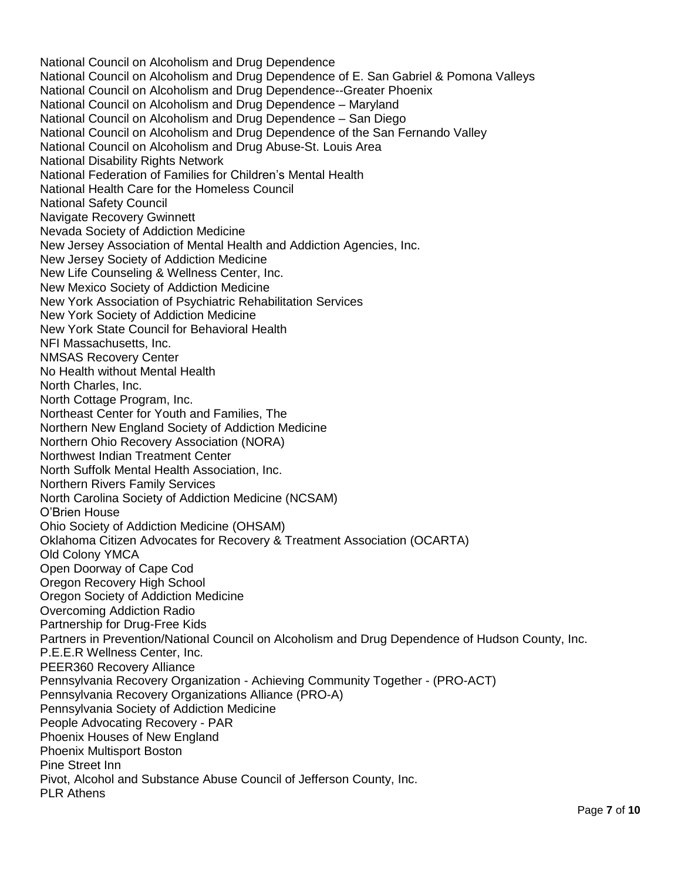National Council on Alcoholism and Drug Dependence National Council on Alcoholism and Drug Dependence of E. San Gabriel & Pomona Valleys National Council on Alcoholism and Drug Dependence--Greater Phoenix National Council on Alcoholism and Drug Dependence – Maryland National Council on Alcoholism and Drug Dependence – San Diego National Council on Alcoholism and Drug Dependence of the San Fernando Valley National Council on Alcoholism and Drug Abuse-St. Louis Area National Disability Rights Network National Federation of Families for Children's Mental Health National Health Care for the Homeless Council National Safety Council Navigate Recovery Gwinnett Nevada Society of Addiction Medicine New Jersey Association of Mental Health and Addiction Agencies, Inc. New Jersey Society of Addiction Medicine New Life Counseling & Wellness Center, Inc. New Mexico Society of Addiction Medicine New York Association of Psychiatric Rehabilitation Services New York Society of Addiction Medicine New York State Council for Behavioral Health NFI Massachusetts, Inc. NMSAS Recovery Center No Health without Mental Health North Charles, Inc. North Cottage Program, Inc. Northeast Center for Youth and Families, The Northern New England Society of Addiction Medicine Northern Ohio Recovery Association (NORA) Northwest Indian Treatment Center North Suffolk Mental Health Association, Inc. Northern Rivers Family Services North Carolina Society of Addiction Medicine (NCSAM) O'Brien House Ohio Society of Addiction Medicine (OHSAM) Oklahoma Citizen Advocates for Recovery & Treatment Association (OCARTA) Old Colony YMCA Open Doorway of Cape Cod Oregon Recovery High School Oregon Society of Addiction Medicine Overcoming Addiction Radio Partnership for Drug-Free Kids Partners in Prevention/National Council on Alcoholism and Drug Dependence of Hudson County, Inc. P.E.E.R Wellness Center, Inc. PEER360 Recovery Alliance Pennsylvania Recovery Organization - Achieving Community Together - (PRO-ACT) Pennsylvania Recovery Organizations Alliance (PRO-A) Pennsylvania Society of Addiction Medicine People Advocating Recovery - PAR Phoenix Houses of New England Phoenix Multisport Boston Pine Street Inn Pivot, Alcohol and Substance Abuse Council of Jefferson County, Inc. PLR Athens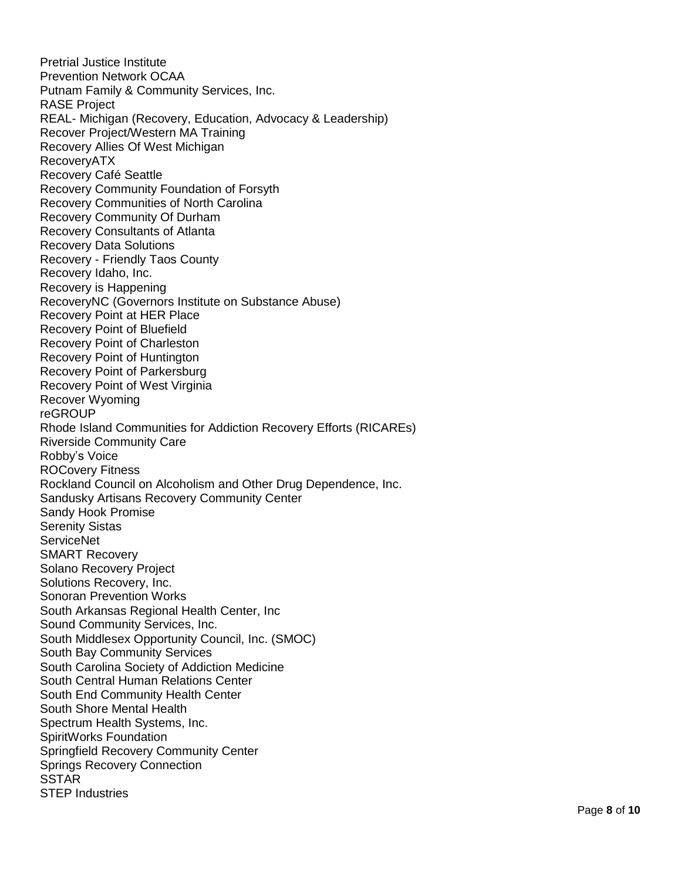Pretrial Justice Institute Prevention Network OCAA Putnam Family & Community Services, Inc. RASE Project REAL - Michigan (Recovery, Education, Advocacy & Leadership) Recover Project/Western MA Training Recovery Allies Of West Michigan RecoveryATX Recovery Café Seattle Recovery Community Foundation of Forsyth Recovery Communities of North Carolina Recovery Community Of Durham Recovery Consultants of Atlanta Recovery Data Solutions Recovery - Friendly Taos County Recovery Idaho, Inc. Recovery is Happening RecoveryNC (Governors Institute on Substance Abuse) Recovery Point at HER Place Recovery Point of Bluefield Recovery Point of Charleston Recovery Point of Huntington Recovery Point of Parkersburg Recovery Point of West Virginia Recover Wyoming reGROUP Rhode Island Communities for Addiction Recovery Efforts (RICAREs) Riverside Community Care Robby's Voice ROCovery Fitness Rockland Council on Alcoholism and Other Drug Dependence, Inc. Sandusky Artisans Recovery Community Center Sandy Hook Promise Serenity Sistas **ServiceNet** SMART Recovery Solano Recovery Project Solutions Recovery, Inc. Sonoran Prevention Works South Arkansas Regional Health Center, Inc Sound Community Services, Inc. South Middlesex Opportunity Council, Inc. (SMOC) South Bay Community Services South Carolina Society of Addiction Medicine South Central Human Relations Center South End Community Health Center South Shore Mental Health Spectrum Health Systems, Inc. SpiritWorks Foundation Springfield Recovery Community Center Springs Recovery Connection **SSTAR** STEP Industries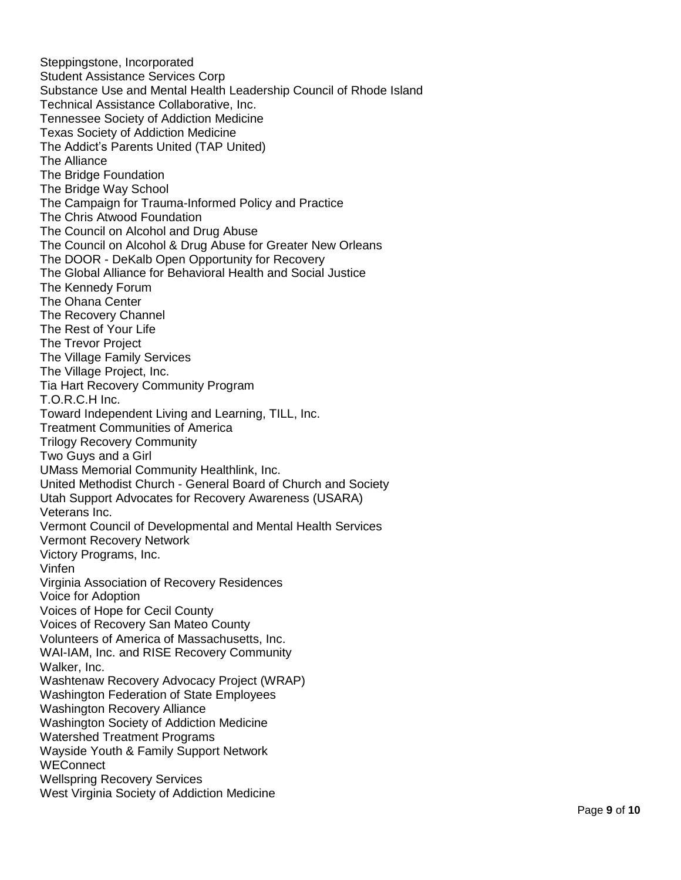Steppingstone, Incorporated Student Assistance Services Corp Substance Use and Mental Health Leadership Council of Rhode Island Technical Assistance Collaborative, Inc. Tennessee Society of Addiction Medicine Texas Society of Addiction Medicine The Addict's Parents United (TAP United) The Alliance The Bridge Foundation The Bridge Way School The Campaign for Trauma -Informed Policy and Practice The Chris Atwood Foundation The Council on Alcohol and Drug Abuse The Council on Alcohol & Drug Abuse for Greater New Orleans The DOOR - DeKalb Open Opportunity for Recovery The Global Alliance for Behavioral Health and Social Justice The Kennedy Forum The Ohana Center The Recovery Channel The Rest of Your Life The Trevor Project The Village Family Services The Village Project, Inc. Tia Hart Recovery Community Program T.O.R.C.H Inc. Toward Independent Living and Learning, TILL, Inc. Treatment Communities of America Trilogy Recovery Community Two Guys and a Girl UMass Memorial Community Healthlink, Inc. United Methodist Church - General Board of Church and Society Utah Support Advocates for Recovery Awareness (USARA) Veterans Inc. Vermont Council of Developmental and Mental Health Services Vermont Recovery Network Victory Programs, Inc. Vinfen Virginia Association of Recovery Residences Voice for Adoption Voices of Hope for Cecil County Voices of Recovery San Mateo County Volunteers of America of Massachusetts, Inc. WAI -IAM, Inc. and RISE Recovery Community Walker, Inc. Washtenaw Recovery Advocacy Project (WRAP) Washington Federation of State Employees Washington Recovery Alliance Washington Society of Addiction Medicine Watershed Treatment Programs Wayside Youth & Family Support Network **WEConnect** Wellspring Recovery Services West Virginia Society of Addiction Medicine